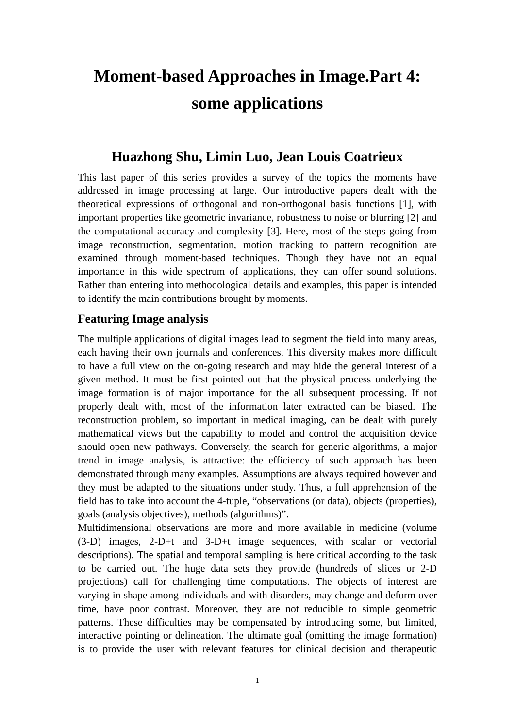# **Moment-based Approaches in Image.Part 4: some applications**

## **Huazhong Shu, Limin Luo, Jean Louis Coatrieux**

This last paper of this series provides a survey of the topics the moments have addressed in image processing at large. Our introductive papers dealt with the theoretical expressions of orthogonal and non-orthogonal basis functions [1], with important properties like geometric invariance, robustness to noise or blurring [2] and the computational accuracy and complexity [3]. Here, most of the steps going from image reconstruction, segmentation, motion tracking to pattern recognition are examined through moment-based techniques. Though they have not an equal importance in this wide spectrum of applications, they can offer sound solutions. Rather than entering into methodological details and examples, this paper is intended to identify the main contributions brought by moments.

## **Featuring Image analysis**

The multiple applications of digital images lead to segment the field into many areas, each having their own journals and conferences. This diversity makes more difficult to have a full view on the on-going research and may hide the general interest of a given method. It must be first pointed out that the physical process underlying the image formation is of major importance for the all subsequent processing. If not properly dealt with, most of the information later extracted can be biased. The reconstruction problem, so important in medical imaging, can be dealt with purely mathematical views but the capability to model and control the acquisition device should open new pathways. Conversely, the search for generic algorithms, a major trend in image analysis, is attractive: the efficiency of such approach has been demonstrated through many examples. Assumptions are always required however and they must be adapted to the situations under study. Thus, a full apprehension of the field has to take into account the 4-tuple, "observations (or data), objects (properties), goals (analysis objectives), methods (algorithms)".

Multidimensional observations are more and more available in medicine (volume (3-D) images, 2-D+t and 3-D+t image sequences, with scalar or vectorial descriptions). The spatial and temporal sampling is here critical according to the task to be carried out. The huge data sets they provide (hundreds of slices or 2-D projections) call for challenging time computations. The objects of interest are varying in shape among individuals and with disorders, may change and deform over time, have poor contrast. Moreover, they are not reducible to simple geometric patterns. These difficulties may be compensated by introducing some, but limited, interactive pointing or delineation. The ultimate goal (omitting the image formation) is to provide the user with relevant features for clinical decision and therapeutic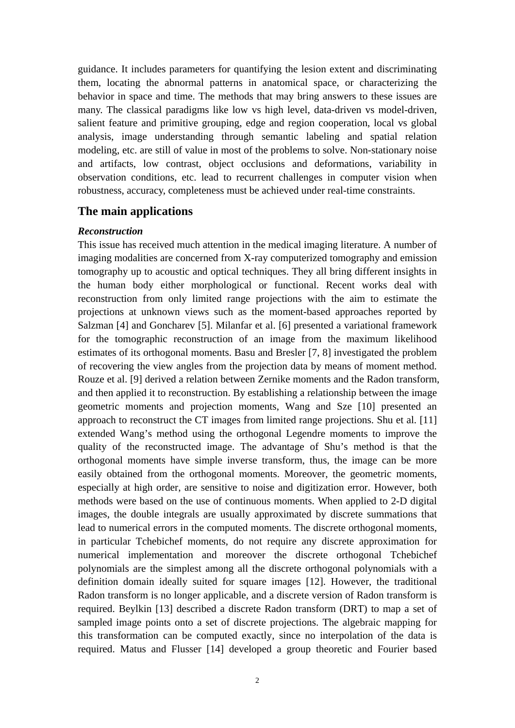guidance. It includes parameters for quantifying the lesion extent and discriminating them, locating the abnormal patterns in anatomical space, or characterizing the behavior in space and time. The methods that may bring answers to these issues are many. The classical paradigms like low vs high level, data-driven vs model-driven, salient feature and primitive grouping, edge and region cooperation, local vs global analysis, image understanding through semantic labeling and spatial relation modeling, etc. are still of value in most of the problems to solve. Non-stationary noise and artifacts, low contrast, object occlusions and deformations, variability in observation conditions, etc. lead to recurrent challenges in computer vision when robustness, accuracy, completeness must be achieved under real-time constraints.

### **The main applications**

#### *Reconstruction*

This issue has received much attention in the medical imaging literature. A number of imaging modalities are concerned from X-ray computerized tomography and emission tomography up to acoustic and optical techniques. They all bring different insights in the human body either morphological or functional. Recent works deal with reconstruction from only limited range projections with the aim to estimate the projections at unknown views such as the moment-based approaches reported by Salzman [4] and Goncharev [5]. Milanfar et al. [6] presented a variational framework for the tomographic reconstruction of an image from the maximum likelihood estimates of its orthogonal moments. Basu and Bresler [7, 8] investigated the problem of recovering the view angles from the projection data by means of moment method. Rouze et al. [9] derived a relation between Zernike moments and the Radon transform, and then applied it to reconstruction. By establishing a relationship between the image geometric moments and projection moments, Wang and Sze [10] presented an approach to reconstruct the CT images from limited range projections. Shu et al. [11] extended Wang's method using the orthogonal Legendre moments to improve the quality of the reconstructed image. The advantage of Shu's method is that the orthogonal moments have simple inverse transform, thus, the image can be more easily obtained from the orthogonal moments. Moreover, the geometric moments, especially at high order, are sensitive to noise and digitization error. However, both methods were based on the use of continuous moments. When applied to 2-D digital images, the double integrals are usually approximated by discrete summations that lead to numerical errors in the computed moments. The discrete orthogonal moments, in particular Tchebichef moments, do not require any discrete approximation for numerical implementation and moreover the discrete orthogonal Tchebichef polynomials are the simplest among all the discrete orthogonal polynomials with a definition domain ideally suited for square images [12]. However, the traditional Radon transform is no longer applicable, and a discrete version of Radon transform is required. Beylkin [13] described a discrete Radon transform (DRT) to map a set of sampled image points onto a set of discrete projections. The algebraic mapping for this transformation can be computed exactly, since no interpolation of the data is required. Matus and Flusser [14] developed a group theoretic and Fourier based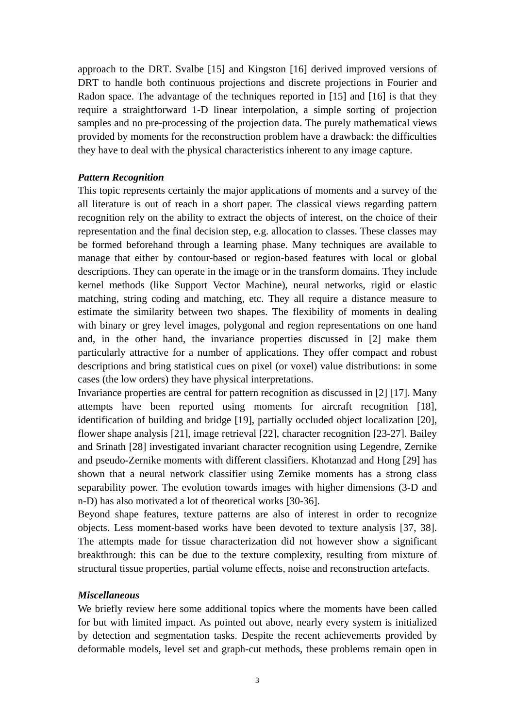approach to the DRT. Svalbe [15] and Kingston [16] derived improved versions of DRT to handle both continuous projections and discrete projections in Fourier and Radon space. The advantage of the techniques reported in [15] and [16] is that they require a straightforward 1-D linear interpolation, a simple sorting of projection samples and no pre-processing of the projection data. The purely mathematical views provided by moments for the reconstruction problem have a drawback: the difficulties they have to deal with the physical characteristics inherent to any image capture.

#### *Pattern Recognition*

This topic represents certainly the major applications of moments and a survey of the all literature is out of reach in a short paper. The classical views regarding pattern recognition rely on the ability to extract the objects of interest, on the choice of their representation and the final decision step, e.g. allocation to classes. These classes may be formed beforehand through a learning phase. Many techniques are available to manage that either by contour-based or region-based features with local or global descriptions. They can operate in the image or in the transform domains. They include kernel methods (like Support Vector Machine), neural networks, rigid or elastic matching, string coding and matching, etc. They all require a distance measure to estimate the similarity between two shapes. The flexibility of moments in dealing with binary or grey level images, polygonal and region representations on one hand and, in the other hand, the invariance properties discussed in [2] make them particularly attractive for a number of applications. They offer compact and robust descriptions and bring statistical cues on pixel (or voxel) value distributions: in some cases (the low orders) they have physical interpretations.

Invariance properties are central for pattern recognition as discussed in [2] [17]. Many attempts have been reported using moments for aircraft recognition [18], identification of building and bridge [19], partially occluded object localization [20], flower shape analysis [21], image retrieval [22], character recognition [23-27]. Bailey and Srinath [28] investigated invariant character recognition using Legendre, Zernike and pseudo-Zernike moments with different classifiers. Khotanzad and Hong [29] has shown that a neural network classifier using Zernike moments has a strong class separability power. The evolution towards images with higher dimensions (3-D and n-D) has also motivated a lot of theoretical works [30-36].

Beyond shape features, texture patterns are also of interest in order to recognize objects. Less moment-based works have been devoted to texture analysis [37, 38]. The attempts made for tissue characterization did not however show a significant breakthrough: this can be due to the texture complexity, resulting from mixture of structural tissue properties, partial volume effects, noise and reconstruction artefacts.

#### *Miscellaneous*

We briefly review here some additional topics where the moments have been called for but with limited impact. As pointed out above, nearly every system is initialized by detection and segmentation tasks. Despite the recent achievements provided by deformable models, level set and graph-cut methods, these problems remain open in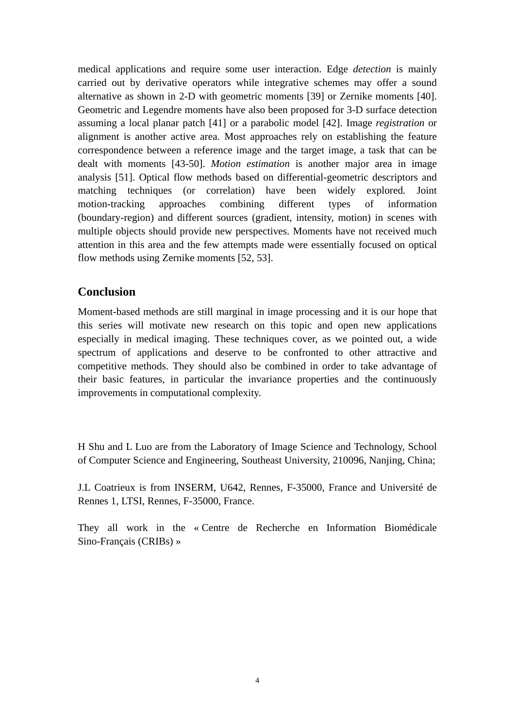medical applications and require some user interaction. Edge *detection* is mainly carried out by derivative operators while integrative schemes may offer a sound alternative as shown in 2-D with geometric moments [39] or Zernike moments [40]. Geometric and Legendre moments have also been proposed for 3-D surface detection assuming a local planar patch [41] or a parabolic model [42]. Image *registration* or alignment is another active area. Most approaches rely on establishing the feature correspondence between a reference image and the target image, a task that can be dealt with moments [43-50]. *Motion estimation* is another major area in image analysis [51]. Optical flow methods based on differential-geometric descriptors and matching techniques (or correlation) have been widely explored. Joint motion-tracking approaches combining different types of information (boundary-region) and different sources (gradient, intensity, motion) in scenes with multiple objects should provide new perspectives. Moments have not received much attention in this area and the few attempts made were essentially focused on optical flow methods using Zernike moments [52, 53].

## **Conclusion**

Moment-based methods are still marginal in image processing and it is our hope that this series will motivate new research on this topic and open new applications especially in medical imaging. These techniques cover, as we pointed out, a wide spectrum of applications and deserve to be confronted to other attractive and competitive methods. They should also be combined in order to take advantage of their basic features, in particular the invariance properties and the continuously improvements in computational complexity.

H Shu and L Luo are from the Laboratory of Image Science and Technology, School of Computer Science and Engineering, Southeast University, 210096, Nanjing, China;

J.L Coatrieux is from INSERM, U642, Rennes, F-35000, France and Université de Rennes 1, LTSI, Rennes, F-35000, France.

They all work in the « Centre de Recherche en Information Biomédicale Sino-Français (CRIBs) »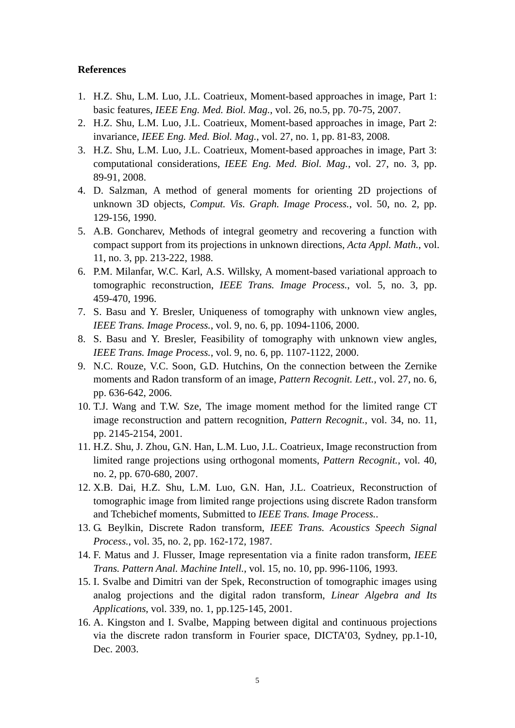#### **References**

- 1. H.Z. Shu, L.M. Luo, J.L. Coatrieux, Moment-based approaches in image, Part 1: basic features, *IEEE Eng. Med. Biol. Mag.*, vol. 26, no.5, pp. 70-75, 2007.
- 2. H.Z. Shu, L.M. Luo, J.L. Coatrieux, Moment-based approaches in image, Part 2: invariance, *IEEE Eng. Med. Biol. Mag.*, vol. 27, no. 1, pp. 81-83, 2008.
- 3. H.Z. Shu, L.M. Luo, J.L. Coatrieux, Moment-based approaches in image, Part 3: computational considerations, *IEEE Eng. Med. Biol. Mag.*, vol. 27, no. 3, pp. 89-91, 2008.
- 4. D. Salzman, A method of general moments for orienting 2D projections of unknown 3D objects, *Comput. Vis. Graph. Image Process.*, vol. 50, no. 2, pp. 129-156, 1990.
- 5. A.B. Goncharev, Methods of integral geometry and recovering a function with compact support from its projections in unknown directions, *Acta Appl. Math.*, vol. 11, no. 3, pp. 213-222, 1988.
- 6. P.M. Milanfar, W.C. Karl, A.S. Willsky, A moment-based variational approach to tomographic reconstruction, *IEEE Trans. Image Process.*, vol. 5, no. 3, pp. 459-470, 1996.
- 7. S. Basu and Y. Bresler, Uniqueness of tomography with unknown view angles, *IEEE Trans. Image Process.*, vol. 9, no. 6, pp. 1094-1106, 2000.
- 8. S. Basu and Y. Bresler, Feasibility of tomography with unknown view angles, *IEEE Trans. Image Process.*, vol. 9, no. 6, pp. 1107-1122, 2000.
- 9. N.C. Rouze, V.C. Soon, G.D. Hutchins, On the connection between the Zernike moments and Radon transform of an image, *Pattern Recognit. Lett.*, vol. 27, no. 6, pp. 636-642, 2006.
- 10. T.J. Wang and T.W. Sze, The image moment method for the limited range CT image reconstruction and pattern recognition, *Pattern Recognit.*, vol. 34, no. 11, pp. 2145-2154, 2001.
- 11. H.Z. Shu, J. Zhou, G.N. Han, L.M. Luo, J.L. Coatrieux, Image reconstruction from limited range projections using orthogonal moments, *Pattern Recognit.*, vol. 40, no. 2, pp. 670-680, 2007.
- 12. X.B. Dai, H.Z. Shu, L.M. Luo, G.N. Han, J.L. Coatrieux, Reconstruction of tomographic image from limited range projections using discrete Radon transform and Tchebichef moments, Submitted to *IEEE Trans. Image Process.*.
- 13. G. Beylkin, Discrete Radon transform, *IEEE Trans. Acoustics Speech Signal Process.*, vol. 35, no. 2, pp. 162-172, 1987.
- 14. F. Matus and J. Flusser, Image representation via a finite radon transform, *IEEE Trans. Pattern Anal. Machine Intell.*, vol. 15, no. 10, pp. 996-1106, 1993.
- 15. I. Svalbe and Dimitri van der Spek, Reconstruction of tomographic images using analog projections and the digital radon transform, *Linear Algebra and Its Applications*, vol. 339, no. 1, pp.125-145, 2001.
- 16. A. Kingston and I. Svalbe, Mapping between digital and continuous projections via the discrete radon transform in Fourier space, DICTA'03, Sydney, pp.1-10, Dec. 2003.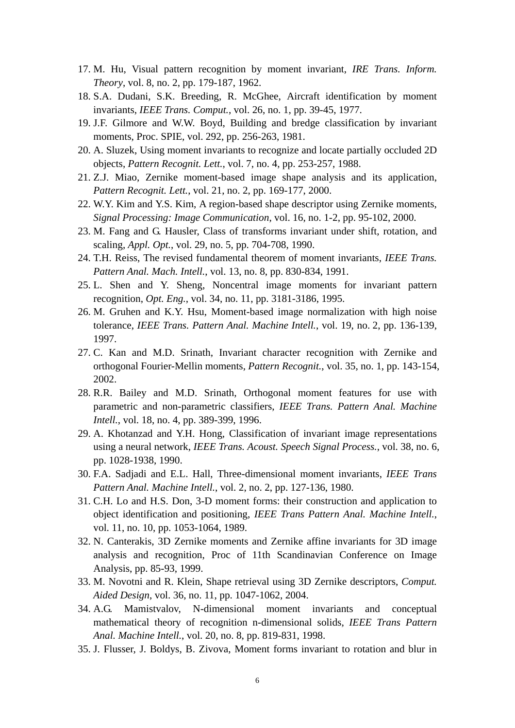- 17. M. Hu, Visual pattern recognition by moment invariant, *IRE Trans. Inform. Theory*, vol. 8, no. 2, pp. 179-187, 1962.
- 18. S.A. Dudani, S.K. Breeding, R. McGhee, Aircraft identification by moment invariants, *IEEE Trans. Comput.*, vol. 26, no. 1, pp. 39-45, 1977.
- 19. J.F. Gilmore and W.W. Boyd, Building and bredge classification by invariant moments, Proc. SPIE, vol. 292, pp. 256-263, 1981.
- 20. A. Sluzek, Using moment invariants to recognize and locate partially occluded 2D objects, *Pattern Recognit. Lett.*, vol. 7, no. 4, pp. 253-257, 1988.
- 21. Z.J. Miao, Zernike moment-based image shape analysis and its application, *Pattern Recognit. Lett.*, vol. 21, no. 2, pp. 169-177, 2000.
- 22. W.Y. Kim and Y.S. Kim, A region-based shape descriptor using Zernike moments, *Signal Processing: Image Communication*, vol. 16, no. 1-2, pp. 95-102, 2000.
- 23. M. Fang and G. Hausler, Class of transforms invariant under shift, rotation, and scaling, *Appl. Opt.*, vol. 29, no. 5, pp. 704-708, 1990.
- 24. T.H. Reiss, The revised fundamental theorem of moment invariants, *IEEE Trans. Pattern Anal. Mach. Intell.*, vol. 13, no. 8, pp. 830-834, 1991.
- 25. L. Shen and Y. Sheng, Noncentral image moments for invariant pattern recognition, *Opt. Eng.*, vol. 34, no. 11, pp. 3181-3186, 1995.
- 26. M. Gruhen and K.Y. Hsu, Moment-based image normalization with high noise tolerance, *IEEE Trans. Pattern Anal. Machine Intell.*, vol. 19, no. 2, pp. 136-139, 1997.
- 27. C. Kan and M.D. Srinath, Invariant character recognition with Zernike and orthogonal Fourier-Mellin moments, *Pattern Recognit.*, vol. 35, no. 1, pp. 143-154, 2002.
- 28. R.R. Bailey and M.D. Srinath, Orthogonal moment features for use with parametric and non-parametric classifiers, *IEEE Trans. Pattern Anal. Machine Intell.*, vol. 18, no. 4, pp. 389-399, 1996.
- 29. A. Khotanzad and Y.H. Hong, Classification of invariant image representations using a neural network, *IEEE Trans. Acoust. Speech Signal Process.*, vol. 38, no. 6, pp. 1028-1938, 1990.
- 30. F.A. Sadjadi and E.L. Hall, Three-dimensional moment invariants, *IEEE Trans Pattern Anal. Machine Intell.*, vol. 2, no. 2, pp. 127-136, 1980.
- 31. C.H. Lo and H.S. Don, 3-D moment forms: their construction and application to object identification and positioning, *IEEE Trans Pattern Anal. Machine Intell.*, vol. 11, no. 10, pp. 1053-1064, 1989.
- 32. N. Canterakis, 3D Zernike moments and Zernike affine invariants for 3D image analysis and recognition, Proc of 11th Scandinavian Conference on Image Analysis, pp. 85-93, 1999.
- 33. M. Novotni and R. Klein, Shape retrieval using 3D Zernike descriptors, *Comput. Aided Design*, vol. 36, no. 11, pp. 1047-1062, 2004.
- 34. A.G. Mamistvalov, N-dimensional moment invariants and conceptual mathematical theory of recognition n-dimensional solids, *IEEE Trans Pattern Anal. Machine Intell.*, vol. 20, no. 8, pp. 819-831, 1998.
- 35. J. Flusser, J. Boldys, B. Zivova, Moment forms invariant to rotation and blur in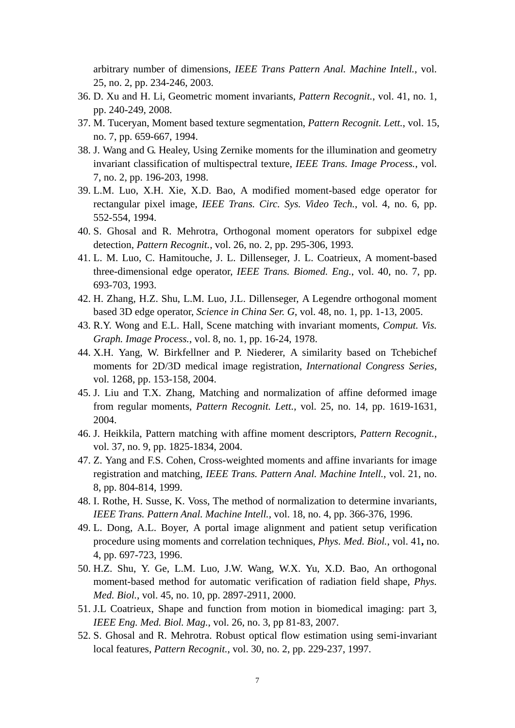arbitrary number of dimensions, *IEEE Trans Pattern Anal. Machine Intell.*, vol. 25, no. 2, pp. 234-246, 2003.

- 36. D. Xu and H. Li, Geometric moment invariants, *Pattern Recognit.*, vol. 41, no. 1, pp. 240-249, 2008.
- 37. M. Tuceryan, Moment based texture segmentation, *Pattern Recognit. Lett.*, vol. 15, no. 7, pp. 659-667, 1994.
- 38. J. Wang and G. Healey, Using Zernike moments for the illumination and geometry invariant classification of multispectral texture, *IEEE Trans. Image Process.*, vol. 7, no. 2, pp. 196-203, 1998.
- 39. L.M. Luo, X.H. Xie, X.D. Bao, A modified moment-based edge operator for rectangular pixel image, *IEEE Trans. Circ. Sys. Video Tech.*, vol. 4, no. 6, pp. 552-554, 1994.
- 40. S. Ghosal and R. Mehrotra, Orthogonal moment operators for subpixel edge detection, *Pattern Recognit.*, vol. 26, no. 2, pp. 295-306, 1993.
- 41. L. M. Luo, C. Hamitouche, J. L. Dillenseger, J. L. Coatrieux, A moment-based three-dimensional edge operator, *IEEE Trans. Biomed. Eng.*, vol. 40, no. 7, pp. 693-703, 1993.
- 42. H. Zhang, H.Z. Shu, L.M. Luo, J.L. Dillenseger, A Legendre orthogonal moment based 3D edge operator, *Science in China Ser. G*, vol. 48, no. 1, pp. 1-13, 2005.
- 43. R.Y. Wong and E.L. Hall, Scene matching with invariant moments, *Comput. Vis. Graph. Image Process.*, vol. 8, no. 1, pp. 16-24, 1978.
- 44. X.H. Yang, W. Birkfellner and P. Niederer, A similarity based on Tchebichef moments for 2D/3D medical image registration, *International Congress Series*, vol. 1268, pp. 153-158, 2004.
- 45. J. Liu and T.X. Zhang, Matching and normalization of affine deformed image from regular moments, *Pattern Recognit. Lett.*, vol. 25, no. 14, pp. 1619-1631, 2004.
- 46. J. Heikkila, Pattern matching with affine moment descriptors, *Pattern Recognit.*, vol. 37, no. 9, pp. 1825-1834, 2004.
- 47. Z. Yang and F.S. Cohen, Cross-weighted moments and affine invariants for image registration and matching, *IEEE Trans. Pattern Anal. Machine Intell.*, vol. 21, no. 8, pp. 804-814, 1999.
- 48. I. Rothe, H. Susse, K. Voss, The method of normalization to determine invariants, *IEEE Trans. Pattern Anal. Machine Intell.*, vol. 18, no. 4, pp. 366-376, 1996.
- 49. L. Dong, A.L. Boyer, A portal image alignment and patient setup verification procedure using moments and correlation techniques, *Phys. Med. Biol.*, vol. 41**,** no. 4, pp. 697-723, 1996.
- 50. H.Z. Shu, Y. Ge, L.M. Luo, J.W. Wang, W.X. Yu, X.D. Bao, An orthogonal moment-based method for automatic verification of radiation field shape, *Phys. Med. Biol.*, vol. 45, no. 10, pp. 2897-2911, 2000.
- 51. J.L Coatrieux, Shape and function from motion in biomedical imaging: part 3, *IEEE Eng. Med. Biol. Mag.*, vol. 26, no. 3, pp 81-83, 2007.
- 52. S. Ghosal and R. Mehrotra. Robust optical flow estimation using semi-invariant local features, *Pattern Recognit.*, vol. 30, no. 2, pp. 229-237, 1997.